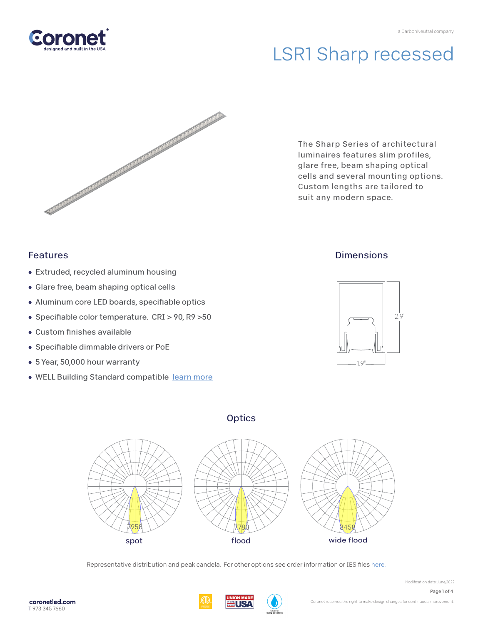

# LSR1 Sharp recessed



The Sharp Series of architectural luminaires features slim profiles, glare free, beam shaping optical cells and several mounting options. Custom lengths are tailored to suit any modern space.

### Features

- Extruded, recycled aluminum housing
- Glare free, beam shaping optical cells
- Aluminum core LED boards, specifiable optics
- Specifiable color temperature. CRI > 90, R9 > 50
- $\bullet$  Custom finishes available
- Specifiable dimmable drivers or PoE
- 5 Year, 50,000 hour warranty
- WELL Building Standard compatibl[e learn more](https://coronetled.com/well-v2-standard/)

## **Dimensions**



### **Optics**



Representative distribution and peak candela. For other options see order information or IES file[s here.](https://coronetled.com/downloads/)



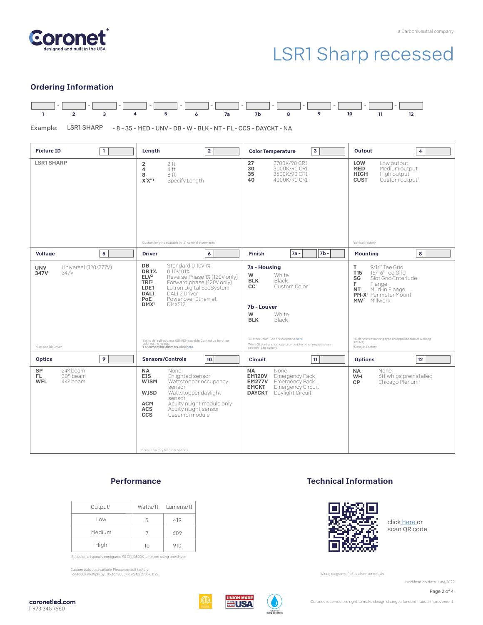

## LSR1 Sharp recessed

#### Ordering Information



Example: LSR1 SHARP - 8 - 35 - MED - UNV - DB - W - BLK - NT - FL - CCS - DAYCKT - NA

| $\mathbf{1}$<br><b>Fixture ID</b>                                        | $\overline{2}$<br>Length                                                                                                                                                                                                                                                                                                                                                                                                                                           | 3<br><b>Color Temperature</b>                                                                                                                                                                                                                                                      | Output<br>4 <sup>1</sup>                                                                                                                                                                                                                                                                                          |
|--------------------------------------------------------------------------|--------------------------------------------------------------------------------------------------------------------------------------------------------------------------------------------------------------------------------------------------------------------------------------------------------------------------------------------------------------------------------------------------------------------------------------------------------------------|------------------------------------------------------------------------------------------------------------------------------------------------------------------------------------------------------------------------------------------------------------------------------------|-------------------------------------------------------------------------------------------------------------------------------------------------------------------------------------------------------------------------------------------------------------------------------------------------------------------|
| <b>LSR1 SHARP</b>                                                        | $\overline{\mathbf{c}}$<br>2 ft<br>4<br>4 ft<br>8<br>8 ft<br>X'X''<br>Specify Length<br><sup>1</sup> Custom lengths available in 12" nominal increments                                                                                                                                                                                                                                                                                                            | 27<br>2700K/90 CRI<br>30<br>3000K/90 CRI<br>35<br>3500K/90 CRI<br>40<br>4000K/90 CRI                                                                                                                                                                                               | LOW<br>Low output<br><b>MED</b><br>Medium output<br><b>HIGH</b><br>High output<br><b>CUST</b><br>Custom output <sup>1</sup><br>'consult factory                                                                                                                                                                   |
| $5\phantom{a}$<br><b>Voltage</b>                                         | 6<br><b>Driver</b>                                                                                                                                                                                                                                                                                                                                                                                                                                                 | $7b -$<br><b>Finish</b><br>$7a -$                                                                                                                                                                                                                                                  | 8<br><b>Mounting</b>                                                                                                                                                                                                                                                                                              |
| Universal (120/277V)<br><b>UNV</b><br>347V<br>347V<br>Must use DB Driver | Standard 0-10V1%<br>DB<br><b>DB.1%</b><br>$0-10V$ $01%$<br>Reverse Phase 1% (120V only)<br>ELV <sup>2</sup><br>Forward phase (120V only)<br>TRI <sup>2</sup><br>LDE1<br>Lutron Digital EcoSystem<br>DALI-2 Driver<br><b>DALI</b><br><b>PoE</b><br>Power over Ethernet.<br>DMX <sup>1</sup><br><b>DMX512</b><br><sup>1</sup> Set to default address 001. RDM capable. Contact us for other<br>addressing needs.<br><sup>2</sup> For compatible dimmers, click here. | <b>7a</b> - Housing<br>W<br>White<br><b>BLK</b><br>Black<br>Custom Color<br>CC <sub>1</sub><br>7b - Louver<br>W<br>White<br><b>BLK</b><br>Black<br>'Custom Color. See finish options here.<br>White SJ cord and canopy provided; for other requests, see<br>section 12 to specify. | 9/16" Tee Grid<br>T.<br>T <sub>15</sub><br>15/16" Tee Grid<br>SG<br>Slot Grid/Interlude<br>F.<br>Flange<br>Mud-in Flange<br><b>NT</b><br><b>PM-X<sup>1</sup></b> Perimeter Mount<br>MW <sup>2</sup> Millwork<br>"X" denotes mounting type on opposite side of wall (eq<br>PM-NT).<br><sup>2</sup> Consult Factory |
| <b>Optics</b><br>9                                                       | <b>Sensors/Controls</b><br> 10                                                                                                                                                                                                                                                                                                                                                                                                                                     | 11<br><b>Circuit</b>                                                                                                                                                                                                                                                               | 12<br><b>Options</b>                                                                                                                                                                                                                                                                                              |
| SP<br>24° beam<br>FL.<br>30° beam<br><b>WFL</b><br>44° beam              | <b>NA</b><br>None<br><b>EIS</b><br>Enlighted sensor<br><b>WISM</b><br>Wattstopper occupancy<br>sensor<br>WISD<br>Wattstopper daylight<br>sensor<br>Acuity nLight module only<br><b>ACM</b><br>Acuity nLight sensor<br><b>ACS</b><br><b>CCS</b><br>Casambi module<br>Consult factory for other options.                                                                                                                                                             | <b>NA</b><br>None<br><b>EM120V</b><br><b>Emergency Pack</b><br><b>EM277V</b><br>Emergency Pack<br><b>EMCKT</b><br><b>Emergency Circuit</b><br><b>DAYCKT</b><br>Daylight Circuit                                                                                                    | <b>NA</b><br>None<br>6ft whips preinstalled<br>WH<br>Chicago Plenum<br>CP                                                                                                                                                                                                                                         |

#### **Performance**

| Output <sup>1</sup> |    | Watts/ft Lumens/ft |
|---------------------|----|--------------------|
| Low                 | 5  | 419                |
| Medium              |    | 609                |
| High                | 10 | 910                |

'Based on a typically configured 90 CRI, 3500K luminaire using one driver.

Custom outputs available. Please consult factory. For 4000K multiply by 1.05; for 3000K 0.96; for 2700K, 0.92.

#### Technical Information



clic[k here](https://coronetled.com/warranty-technical-info/) or scan QR code

Wiring diagrams, PoE and sensor details

Modification date: June.2022

Page 2 of 4





Coronet reserves the right to make design changes for continuous improvement.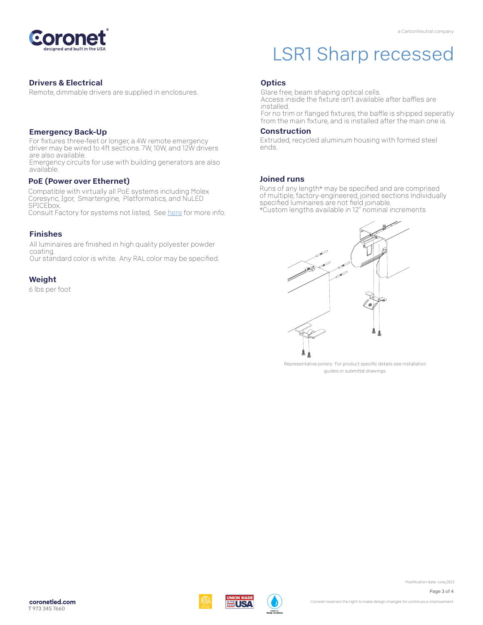

#### Drivers & Electrical

Remote, dimmable drivers are supplied in enclosures.

#### Emergency Back-Up

For fixtures three-feet or longer, a 4W remote emergency driver may be wired to 4ft sections. 7W, 10W, and 12W drivers are also available.

Emergency circuits for use with building generators are also available.

#### PoE (Power over Ethernet)

Compatible with virtually all PoE systems including Molex Coresync, Igor, Smartengine, Platformatics, and NuLED SPICEbox. Consult Factory for systems not listed, Se[e here](https://coronetled.com/warranty-technical-info/) for more info.

#### Finishes

All luminaires are finished in high quality polyester powder coating. Our standard color is white. Any RAL color may be specified.

#### **Weight**

6 lbs per foot

## LSR1 Sharp recessed

#### **Optics**

Glare free, beam shaping optical cells. Access inside the fixture isn't available after baffles are installed. For no trim or flanged fixtures, the baffle is shipped seperatly

from the main fixture, and is installed after the main one is.

#### Construction

Extruded, recycled aluminum housing with formed steel ends.

#### Joined runs

WIR.

Runs of any length\* may be specified and are comprised of multiple, factory-engineered, joined sections. Individually specified luminaires are not field joinable. \*Custom lengths available in 12" nominal increments



Representative joinery. For product specific details see installation guides or submittal drawings.